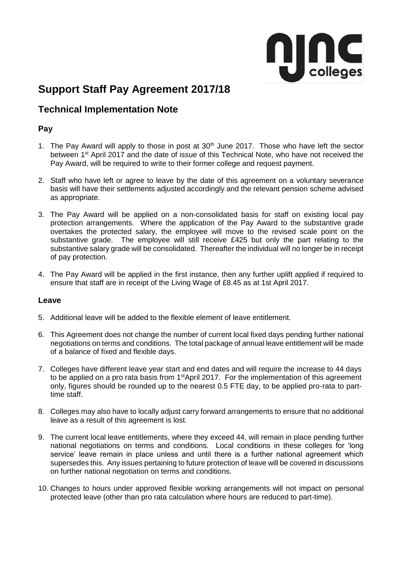

# **Support Staff Pay Agreement 2017/18**

# **Technical Implementation Note**

# **Pay**

- 1. The Pay Award will apply to those in post at 30<sup>th</sup> June 2017. Those who have left the sector between 1<sup>st</sup> April 2017 and the date of issue of this Technical Note, who have not received the Pay Award, will be required to write to their former college and request payment.
- 2. Staff who have left or agree to leave by the date of this agreement on a voluntary severance basis will have their settlements adjusted accordingly and the relevant pension scheme advised as appropriate.
- 3. The Pay Award will be applied on a non-consolidated basis for staff on existing local pay protection arrangements. Where the application of the Pay Award to the substantive grade overtakes the protected salary, the employee will move to the revised scale point on the substantive grade. The employee will still receive £425 but only the part relating to the substantive salary grade will be consolidated. Thereafter the individual will no longer be in receipt of pay protection.
- 4. The Pay Award will be applied in the first instance, then any further uplift applied if required to ensure that staff are in receipt of the Living Wage of £8.45 as at 1st April 2017.

## **Leave**

- 5. Additional leave will be added to the flexible element of leave entitlement.
- 6. This Agreement does not change the number of current local fixed days pending further national negotiations on terms and conditions. The total package of annual leave entitlement will be made of a balance of fixed and flexible days.
- 7. Colleges have different leave year start and end dates and will require the increase to 44 days to be applied on a pro rata basis from 1<sup>st</sup>April 2017. For the implementation of this agreement only, figures should be rounded up to the nearest 0.5 FTE day, to be applied pro-rata to parttime staff.
- 8. Colleges may also have to locally adjust carry forward arrangements to ensure that no additional leave as a result of this agreement is lost.
- 9. The current local leave entitlements, where they exceed 44, will remain in place pending further national negotiations on terms and conditions. Local conditions in these colleges for 'long service' leave remain in place unless and until there is a further national agreement which supersedes this. Any issues pertaining to future protection of leave will be covered in discussions on further national negotiation on terms and conditions.
- 10. Changes to hours under approved flexible working arrangements will not impact on personal protected leave (other than pro rata calculation where hours are reduced to part-time).